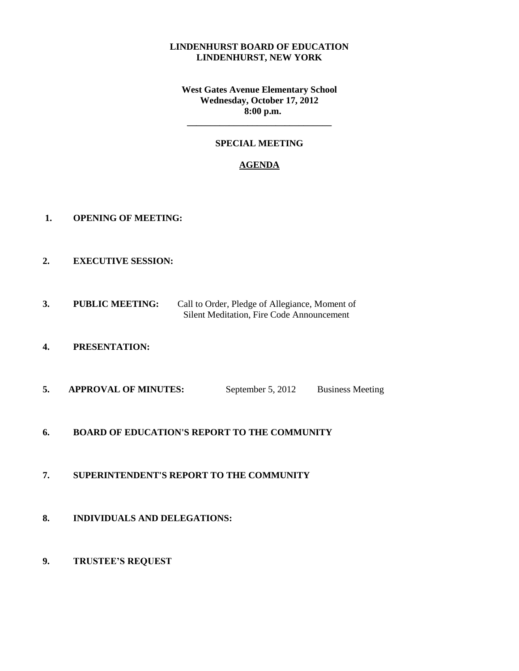#### **LINDENHURST BOARD OF EDUCATION LINDENHURST, NEW YORK**

**West Gates Avenue Elementary School Wednesday, October 17, 2012 8:00 p.m.**

### **SPECIAL MEETING**

**\_\_\_\_\_\_\_\_\_\_\_\_\_\_\_\_\_\_\_\_\_\_\_\_\_\_\_\_\_\_\_**

#### **AGENDA**

- **1. OPENING OF MEETING:**
- **2. EXECUTIVE SESSION:**
- **3. PUBLIC MEETING:** Call to Order, Pledge of Allegiance, Moment of Silent Meditation, Fire Code Announcement
- **4. PRESENTATION:**
- **5. APPROVAL OF MINUTES:** September 5, 2012 Business Meeting
- **6. BOARD OF EDUCATION'S REPORT TO THE COMMUNITY**
- **7. SUPERINTENDENT'S REPORT TO THE COMMUNITY**
- **8. INDIVIDUALS AND DELEGATIONS:**
- **9. TRUSTEE'S REQUEST**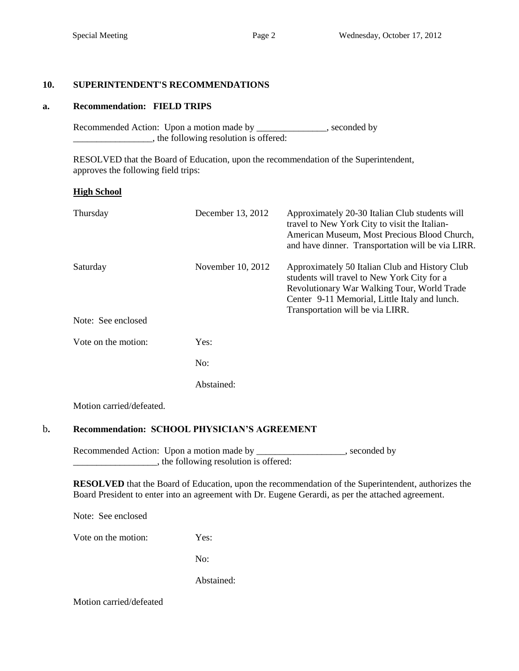# **10. SUPERINTENDENT'S RECOMMENDATIONS**

# **a. Recommendation: FIELD TRIPS**

Recommended Action: Upon a motion made by \_\_\_\_\_\_\_\_\_\_\_\_\_, seconded by \_\_\_\_\_\_\_\_\_\_\_\_\_\_\_\_\_, the following resolution is offered:

 RESOLVED that the Board of Education, upon the recommendation of the Superintendent, approves the following field trips:

# **High School**

| Thursday                 | December 13, 2012 | Approximately 20-30 Italian Club students will<br>travel to New York City to visit the Italian-<br>American Museum, Most Precious Blood Church,<br>and have dinner. Transportation will be via LIRR.                              |  |  |
|--------------------------|-------------------|-----------------------------------------------------------------------------------------------------------------------------------------------------------------------------------------------------------------------------------|--|--|
| Saturday                 | November 10, 2012 | Approximately 50 Italian Club and History Club<br>students will travel to New York City for a<br>Revolutionary War Walking Tour, World Trade<br>Center 9-11 Memorial, Little Italy and lunch.<br>Transportation will be via LIRR. |  |  |
| Note: See enclosed       |                   |                                                                                                                                                                                                                                   |  |  |
| Vote on the motion:      | Yes:              |                                                                                                                                                                                                                                   |  |  |
|                          | No:               |                                                                                                                                                                                                                                   |  |  |
|                          | Abstained:        |                                                                                                                                                                                                                                   |  |  |
| Motion carried/defeated. |                   |                                                                                                                                                                                                                                   |  |  |

# b**. Recommendation: SCHOOL PHYSICIAN'S AGREEMENT**

Recommended Action: Upon a motion made by \_\_\_\_\_\_\_\_\_\_\_\_\_\_\_\_, seconded by \_\_\_\_\_\_\_\_\_\_\_\_\_\_\_\_\_\_, the following resolution is offered:

**RESOLVED** that the Board of Education, upon the recommendation of the Superintendent, authorizes the Board President to enter into an agreement with Dr. Eugene Gerardi, as per the attached agreement.

Note: See enclosed

Vote on the motion: Yes:

No:

Abstained:

Motion carried/defeated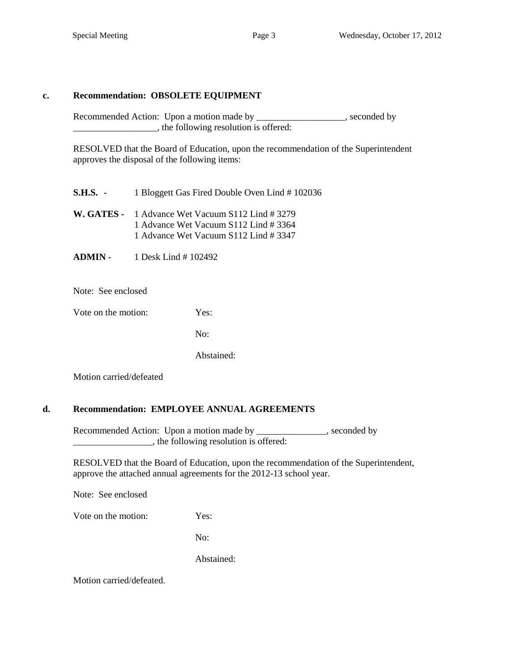### **c. Recommendation: OBSOLETE EQUIPMENT**

Recommended Action: Upon a motion made by \_\_\_\_\_\_\_\_\_\_\_\_\_\_\_\_\_, seconded by  $\Box$ , the following resolution is offered:

RESOLVED that the Board of Education, upon the recommendation of the Superintendent approves the disposal of the following items:

**S.H.S.** - 1 Bloggett Gas Fired Double Oven Lind # 102036

- **W. GATES -** 1 Advance Wet Vacuum S112 Lind # 3279 1 Advance Wet Vacuum S112 Lind # 3364 1 Advance Wet Vacuum S112 Lind # 3347
- **ADMIN** 1 Desk Lind # 102492

Note: See enclosed

Vote on the motion: Yes:

 $\overline{N}$ <sup>.</sup>

Abstained:

Motion carried/defeated

#### **d. Recommendation: EMPLOYEE ANNUAL AGREEMENTS**

Recommended Action: Upon a motion made by \_\_\_\_\_\_\_\_\_\_\_\_\_, seconded by \_\_\_\_\_\_\_\_\_\_\_\_\_\_\_\_\_, the following resolution is offered:

 RESOLVED that the Board of Education, upon the recommendation of the Superintendent, approve the attached annual agreements for the 2012-13 school year.

Note: See enclosed

Vote on the motion: Yes:

No:

Abstained:

Motion carried/defeated.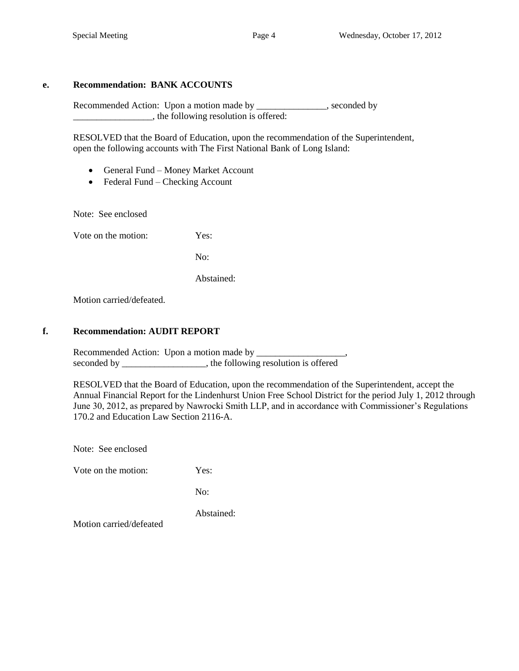### **e. Recommendation: BANK ACCOUNTS**

Recommended Action: Upon a motion made by \_\_\_\_\_\_\_\_\_\_\_\_\_\_, seconded by  $\Box$ , the following resolution is offered:

RESOLVED that the Board of Education, upon the recommendation of the Superintendent, open the following accounts with The First National Bank of Long Island:

- General Fund Money Market Account
- Federal Fund Checking Account

Note: See enclosed

Vote on the motion: Yes:

No:

Abstained:

Motion carried/defeated.

### **f. Recommendation: AUDIT REPORT**

Recommended Action: Upon a motion made by \_\_\_\_\_\_\_\_\_\_\_\_\_\_\_\_\_\_\_, seconded by \_\_\_\_\_\_\_\_\_\_\_\_\_\_\_, the following resolution is offered

RESOLVED that the Board of Education, upon the recommendation of the Superintendent, accept the Annual Financial Report for the Lindenhurst Union Free School District for the period July 1, 2012 through June 30, 2012, as prepared by Nawrocki Smith LLP, and in accordance with Commissioner's Regulations 170.2 and Education Law Section 2116-A.

Note: See enclosed

Vote on the motion: Yes:

No:

Abstained:

Motion carried/defeated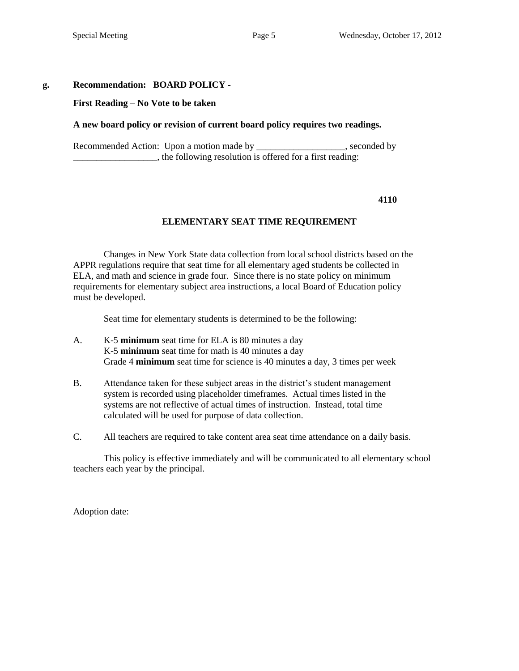### **g. Recommendation: BOARD POLICY -**

#### **First Reading – No Vote to be taken**

#### **A new board policy or revision of current board policy requires two readings.**

Recommended Action: Upon a motion made by \_\_\_\_\_\_\_\_\_\_\_\_\_\_\_\_\_, seconded by \_\_\_\_\_\_\_\_\_\_\_\_\_\_\_\_\_\_, the following resolution is offered for a first reading:

**4110**

#### **ELEMENTARY SEAT TIME REQUIREMENT**

Changes in New York State data collection from local school districts based on the APPR regulations require that seat time for all elementary aged students be collected in ELA, and math and science in grade four. Since there is no state policy on minimum requirements for elementary subject area instructions, a local Board of Education policy must be developed.

Seat time for elementary students is determined to be the following:

- A. K-5 **minimum** seat time for ELA is 80 minutes a day K-5 **minimum** seat time for math is 40 minutes a day Grade 4 **minimum** seat time for science is 40 minutes a day, 3 times per week
- B. Attendance taken for these subject areas in the district's student management system is recorded using placeholder timeframes. Actual times listed in the systems are not reflective of actual times of instruction. Instead, total time calculated will be used for purpose of data collection.
- C. All teachers are required to take content area seat time attendance on a daily basis.

This policy is effective immediately and will be communicated to all elementary school teachers each year by the principal.

Adoption date: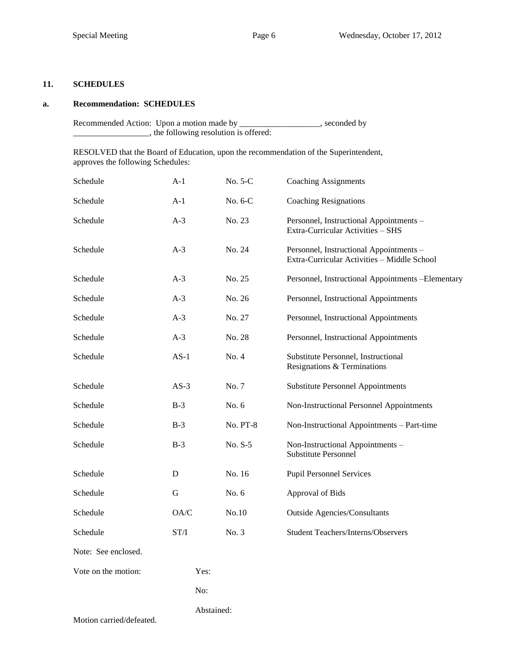### **11. SCHEDULES**

#### **a. Recommendation: SCHEDULES**

Recommended Action: Upon a motion made by \_\_\_\_\_\_\_\_\_\_\_\_\_\_\_\_\_\_\_, seconded by \_\_\_\_\_\_\_\_\_\_\_\_\_\_\_\_\_\_, the following resolution is offered:

RESOLVED that the Board of Education, upon the recommendation of the Superintendent, approves the following Schedules:

| Schedule                 | $A-1$                                                     | No. 5-C         | <b>Coaching Assignments</b>                                                            |  |
|--------------------------|-----------------------------------------------------------|-----------------|----------------------------------------------------------------------------------------|--|
| Schedule                 | $A-1$                                                     | No. 6-C         | <b>Coaching Resignations</b>                                                           |  |
| Schedule                 | $A-3$                                                     | No. 23          | Personnel, Instructional Appointments -<br>Extra-Curricular Activities - SHS           |  |
| Schedule                 | $A-3$                                                     | No. 24          | Personnel, Instructional Appointments -<br>Extra-Curricular Activities - Middle School |  |
| Schedule                 | $A-3$                                                     | No. 25          | Personnel, Instructional Appointments -Elementary                                      |  |
| Schedule                 | $A-3$                                                     | No. 26          | Personnel, Instructional Appointments                                                  |  |
| Schedule                 | $A-3$                                                     | No. 27          | Personnel, Instructional Appointments                                                  |  |
| Schedule                 | $A-3$                                                     | No. 28          | Personnel, Instructional Appointments                                                  |  |
| Schedule                 | $AS-1$                                                    | No. 4           | Substitute Personnel, Instructional<br>Resignations & Terminations                     |  |
| Schedule                 | $AS-3$                                                    | No. 7           | <b>Substitute Personnel Appointments</b>                                               |  |
| Schedule                 | $B-3$                                                     | No. 6           | Non-Instructional Personnel Appointments                                               |  |
| Schedule                 | $B-3$                                                     | <b>No. PT-8</b> | Non-Instructional Appointments - Part-time                                             |  |
| Schedule                 | $B-3$                                                     | No. S-5         | Non-Instructional Appointments -<br><b>Substitute Personnel</b>                        |  |
| Schedule                 | D                                                         | No. 16          | <b>Pupil Personnel Services</b>                                                        |  |
| Schedule                 | G                                                         | No. 6           | Approval of Bids                                                                       |  |
| Schedule                 | OA/C                                                      | No.10           | <b>Outside Agencies/Consultants</b>                                                    |  |
| Schedule                 | $\ensuremath{\mathrm{ST}}\xspace/\ensuremath{\mathrm{I}}$ | No. 3           | <b>Student Teachers/Interns/Observers</b>                                              |  |
| Note: See enclosed.      |                                                           |                 |                                                                                        |  |
| Vote on the motion:      | Yes:                                                      |                 |                                                                                        |  |
|                          | No:                                                       |                 |                                                                                        |  |
| Motion carried/defeated. | Abstained:                                                |                 |                                                                                        |  |